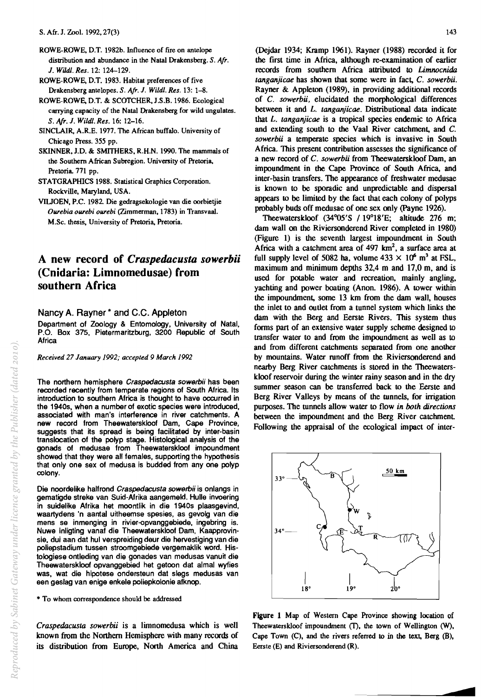- ROWE-ROWE, D.T. 1982b. Influence of fire on antelope distribution and abundance in the Natal Drakensberg. S. *Afr.*  J. *Wildl. Res.* 12: 124-129.
- ROWE-ROWE, D.T. 1983. Habitat preferences of five Drakensberg antelopes. S. *Afr.* J. *Wildl. Res.* 13: 1-8.
- ROWE-ROWE, D.T. & SCOTCHER, J.S.B. 1986. Ecological carrying capacity of the Natal Drakensberg for wild ungulates. S. Afr. J. *Wildl. Res.* 16: 12-16.
- SINCLAIR, A.R.E. 1977. The African buffalo. University of Chicago Press. 355 pp.
- SKINNER, J.D. & SMITHERS, R.H.N. 1990. The mammals of the Southern African Subregion. University of Pretoria, Pretoria. 771 pp.
- STATGRAPHICS 1988. Statistical Graphics Corporation. Rockville, Maryland, USA.
- VIUOEN, P.C. 1982. Die gedragsekologie van die oorbietjie *Ourebia ourebi ourebi* (Zimmerman, 1783) in Transvaal. M.Sc. thesis, University of Pretoria, Pretoria.

## **A new record of** *Craspedacusta sowerbii*  **(Cnidaria: Limnomedusae) from southern Africa**

## Nancy A. Rayner \* and C.C. Appleton

Department of Zoology & Entomology, University of Natal, P.O. Box 375, Pietermaritzburg, 3200 Republic of South Africa

*Received* 27 *January* 1992; *accepted* 9 *March 1992* 

The northern hemisphere Craspedacusta sowerbii has been recorded recently from temperate regions of South Africa. Its introduction to southern Africa is thought to have occurred in the 1940s, when a number of exotic species were introduced, associated with man's interference in river catchments. A new record from Theewaterskloof Dam, Cape Province, suggests that its spread is being facilitated by inter-basin translocation of the polyp stage. Histological analysis of the gonads of medusae from Theewaterskloof impoundment showed that they were all females, supporting the hypothesis that only one sex of medusa is budded from anyone polyp colony.

Die noordelike halfrond Craspedacusta sowerbii is onlangs in gematigde streke van Suid-Afrika aangemeld. Hulle invoering in suidelike Afrika hat moontlik in die 1940s plaasgevind, waartydens 'n aantal uitheemse spesies, as gevolg van die mens se inmenging in rivier-opvanggebiede, ingebring is. Nuwe inligting vanaf die Theewaterskloof Dam, Kaapprovinsie, dui aan dat hul verspreiding deur die hervestiging van die poliepstadium tussen stroomgebiede vergemaklik word. Histologiese ontleding van die gonades van medusas vanuit die Theewaterskloof opvanggebied het getoon dat almal wyfies was, wat die hipotese ondersteun dat slegs medusas van een geslag van enige enkele poliepkolonie afknop.

• To whom correspondence should be addressed

*Craspedacusta sowerbii* is a limnomedusa which is well known from the Northern Hemisphere with many records of its distribution from Europe, North America and China

(Dejdar 1934; Kramp 1961). Rayner (1988) recorded it for the first time in Africa, although re-examination of earlier records from southern Africa attributed to *Limnocnida tanganjicae* has shown that some were in fact, C. *sowerbii.*  Rayner & Appleton (1989), in providing additional records of C. *sowerbii,* elucidated the morphological differences between it and *L. tanganjicae.* Distributiona1 data indicate that *L. tanganjicae* is a tropical species endemic to Africa and extending south to the Vaal River catchment, and C. *sowerbii* a temperate species which is invasive in South Africa. This present contribution assesses the significance of a new record of C. sowerbii from Theewaterskloof Dam, an impoundment in the Cape Province of South Africa, and inter-basin transfers. The appearance of freshwater medusae is known to be sporadic and unpredictable and dispersal appears to be limited by the fact that each colony of polyps probably buds off medusae of one sex only (Payne 1926).

Theewaterskloof (34°05'S /19°18'E; altitude 276 m; dam wall on the Riviersonderend River completed in 1980) (Figure I) is the seventh largest impoundment in South Africa with a catchment area of  $497 \text{ km}^2$ , a surface area at full supply level of 5082 ha, volume  $433 \times 10^6$  m<sup>3</sup> at FSL, maximum and minimum depths 32,4 m and 17,0 m, and is used for potable water and recreation, mainly angling, yachting and power boating (Anon. 1986). A tower within the impoundment, some 13 km from the dam wall, houses the inlet to and outlet from a tunnel system which links the dam with the Berg and Eerste Rivers. This system thus fonns part of an extensive water supply scheme designed to transfer water to and from the impoundment as well as to and from different catchments separated from one another by mountains. Water runoff from the Riviersonderend and nearby Berg River catchments is stored in the Theewaterskloof reservoir during the winter rainy season and in the dry summer season can be transferred back to the Eerste and Berg River Valleys by means of the tunnels, for irrigation purposes. The tunnels allow water to flow *in both directions*  between the impoundment and the Berg River catchment. Following the appraisal of the ecological impact of inter-



Figure 1 Map of Western Cape Province showing location of Theewaterskloof impoundment (T), the town of Wellington (W), Cape Town (C), and the rivers referred to in the text, Berg (B), Eerste (E) and Riviersonderend (R).

**c**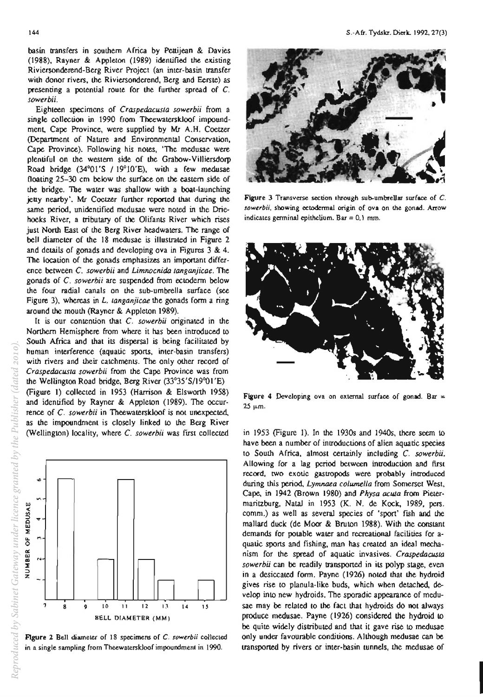basin transfers in southern Africa by Pettijean & Davies (1988). Rayner & Appleton (1989) identified the existing Riviersonderend-Berg River Project (an inter-basin transfer with donor rivers. the Riviersonderend. Berg and Eerste) as presenting a potential route for the further spread of C. *sowerbii.* 

Eighteen specimens of *Craspedacusla sowerbji* from a single collection in 1990 from Theewaterskloof impoundment, Cape Province, were supplied by Mr A.H. Coetzer (Department of Nature and Environmental Conservation, Cape Province). Following his notes, 'The medusae were plentiful on Lhe westem side of the Grabow-Villiersdorp Road bridge (34°01'S / 19° 1O'E), with a few medusae (loating 25-30 cm below the surface on the eastern side of the bridge. The water was shallow with a boat-launching jetty nearby'. Mr Coetzer further reported that during the same period, unidentified medusae were noted in the Driehoeks River, a tributary of the Olifants River which rises just North East of the Berg River headwaters. The range of bell diameter of the 18 medusae is illustrated in Figure 2 and details of gonads and developing ova in Figures 3 & 4. The location of the gonads emphasizes an important difference between C. *sowerbii* and *Limnocnida langanjicae.* The gonads of C. *sowerbij* are suspended from ectoderm below the four radial canals on the sub-umbrella surface (see Figure 3), whereas in *L. langanjicae* the gonads form a ring around the mouth (Rayner & Appleton 1989).

It is our contention that C. *sowerbii* originated in the Northern Hemisphere from where it has been introduced to South Africa and that its dispersal is being facilitated by human interference (aquatic sports, inter-basin transfers) with rivers and their catchments. The only other record of *Craspedacusta sowerbii* from the Cape Province was from the Wellington Road bridge. Berg River (33°35'S/1900I'E) (Figure I) collected in 1953 (Harrison & Elsworth 1958) and identified by Rayner & Appleton (1989). The occurrence of C. sowerbii in Theewaterskloof is not unexpected, as the impoundment is closely linked 10 the Berg River (Wellington) locality, where C. *sowerbij* was first collected



Figure 2 Bell diameter of 18 specimens of C. sowerbii collected in a single sampling from Theewaterskloof impoundment in 1990.



Figure 3 Transverse section Ihrough sub-umbrellar surface of C. sowerbii, showing ectodermal origin of ova on the gonad. Arrow indicates germinal epithclium. Bar =  $0,1$  mm.



Figure 4 Developing ova on external surface of gonad. Bar =  $25 \mu m$ .

in 1953 (Figure 1). In the *1930s* and 1940s, there seem to have been a number of introductions of alien aquatic species to South Africa, almost certainly including C. *sowerbii.*  Allowing for a lag period between introduction and first record, two exotic gastropods were probably introduced during this period, Lymnaea columella from Somerset West, Cape. in 1942 (Brown 1980) and *Physa acuta* from Pietermaritzburg, Natal in 1953 (K. N. de Kock, 1989, pers. comm.) as well as several species of 'sport' fish and the mallard duck (de Moor & Bruton 1988). With the constant demands for potable water and recreationaJ facilities for aquatic sports and fishing, man has created an ideal mechanism for the spread of aquatic invasives. *Craspedacusta sowerbii* can be readily transponed in its polyp stage, even in a desiccated form. Payne (1926) noted thai the hydroid gives rise to planula-like buds, which when detached, develop into new hydroids. The sporadic appearance of medusae may be related to the fact that hydroids do not always produce medusae. Payne (1926) considered the hydroid 10 be quite widely distributed and that it gave rise to medusae only under favourable conditions. Although medusae can be uansported by rivers or inter-basin tunnels, the medusae of